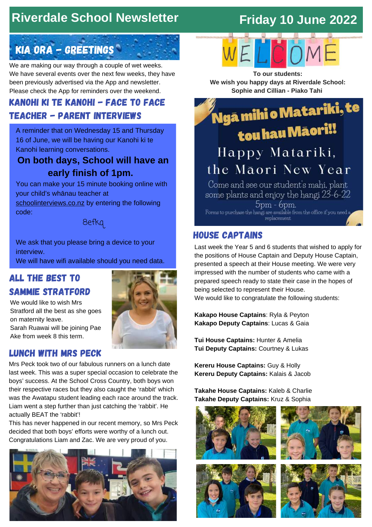## **Riverdale School Newsletter**

## **Friday 10 June 2022**

## KIA ORA - GREETINGS

We are making our way through a couple of wet weeks. We have several events over the next few weeks, they have been previously advertised via the App and newsletter. Please check the App for reminders over the weekend.

### kanohi ki te kanohi - Face to face Teacher - parent interviews

A reminder that on Wednesday 15 and Thursday 16 of June, we will be having our Kanohi ki te Kanohi learning conversations.

### **On both days, School will have an early finish of 1pm.**

You can make your 15 minute booking online with your child's whānau teacher at [schoolinterviews.co.nz](https://www.schoolinterviews.co.nz/) by entering the following

code:

8efkq

We ask that you please bring a device to your interview.

We will have wifi available should you need data.

### All the best to Sammie Stratford

We would like to wish Mrs Stratford all the best as she goes on maternity leave.

Sarah Ruawai will be joining Pae Ake from week 8 this term.

### Lunch with mrs Peck

Mrs Peck took two of our fabulous runners on a lunch date last week. This was a super special occasion to celebrate the boys' success. At the School Cross Country, both boys won their respective races but they also caught the 'rabbit' which was the Awatapu student leading each race around the track. Liam went a step further than just catching the 'rabbit'. He actually BEAT the 'rabbit'!

This has never happened in our recent memory, so Mrs Peck decided that both boys' efforts were worthy of a lunch out. Congratulations Liam and Zac. We are very proud of you.







**To our students: We wish you happy days at Riverdale School: Sophie and Cillian - Piako Tahi**

,<br>Ngā mihi o Matariki, te

# tou hau Māori!! Happy Matariki, the Maori New Year

Come and see our student's mahi, plant some plants and enjoy the hangi 23-6-22  $5pm - 6pm.$ Forms to purchase the hangi are available from the office if you need a replacement

### house captains

Last week the Year 5 and 6 students that wished to apply for the positions of House Captain and Deputy House Captain, presented a speech at their House meeting. We were very impressed with the number of students who came with a prepared speech ready to state their case in the hopes of being selected to represent their House. We would like to congratulate the following students:

**Kakapo House Captains**: Ryla & Peyton **Kakapo Deputy Captains**: Lucas & Gaia

**Tui House Captains:** Hunter & Amelia **Tui Deputy Captains:** Courtney & Lukas

**Kereru House Captains:** Guy & Holly **Kereru Deputy Captains:** Kalais & Jacob

**Takahe House Captains:** Kaleb & Charlie **Takahe Deputy Captains:** Kruz & Sophia







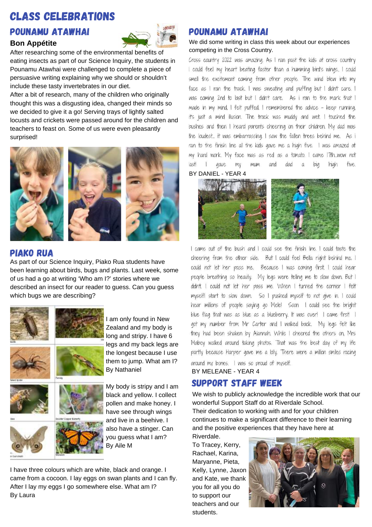## Class celebrations

### pounamu atawhai

#### **Bon Appétite**



After researching some of the environmental benefits of eating insects as part of our Science Inquiry, the students in Pounamu Atawhai were challenged to complete a piece of persuasive writing explaining why we should or shouldn't include these tasty invertebrates in our diet.

After a bit of research, many of the children who originally thought this was a disgusting idea, changed their minds so we decided to give it a go! Serving trays of lightly salted locusts and crickets were passed around for the children and teachers to feast on. Some of us were even pleasantly surprised!







As part of our Science Inquiry, Piako Rua students have been learning about birds, bugs and plants. Last week, some of us had a go at writing 'Who am I?' stories where we described an insect for our reader to guess. Can you guess which bugs we are describing?



I am only found in New Zealand and my body is long and stripy. I have 6 legs and my back legs are the longest because I use them to jump. What am I? By Nathaniel

My body is stripy and I am black and yellow. I collect pollen and make honey. I have see through wings and live in a beehive. I also have a stinger. Can you guess what I am? By Aile M

I have three colours which are white, black and orange. I came from a cocoon. I lay eggs on swan plants and I can fly. After I lay my eggs I go somewhere else. What am I? By Laura

### pounamu atawhai

#### We did some writing in class this week about our experiences competing in the Cross Country.

Cross country 2022 was amazing. As I ran past the kids at cross country I could feel my heart beating faster than a humming bird's wings.. I could smell the excitement coming from other people. The wind blew into my face as I ran the track. I was sweating and puffing but I didn't care. I was coming 2nd to last but I didn't care. As i ran to the mark that I made in my mind, I felt puffed. I remembered the advice - keep running, it's just a mind illusion. The track was muddy and wet. I touched the bushes and then I heard parents cheering on their children. My dad was the loudest... it was embarrassing. I saw the fallen trees behind me. As i ran to the finish line all the kids gave me a high five. I was amazed at my hard work. My face was as red as a tomato. I came l'7th...wow not ast gave my mum and dad big high five.  $\perp$  $\alpha$ 

BY DANIEL - YEAR 4



I came out of the bush and I could see the finish line. I could taste the cheering from the other side. But I could feel Bella right behind me. I could not let her pass me. Because I was coming first. I could hear people breathing so heavily. My legs were telling me to slow down. But I didn't. I could not let her pass me. When I turned the corner I felt myself1 start to slow down. So I pushed myself to not give in. I could hear millions of people saying go Mele! Soon I could see the bright blue flag that was as blue as a blueberry. It was over! I came first! I got my number from Mr Carter and I walked back. My legs felt like they had been shaken by Alannah. While I cheered the others on, Mrs Mabey walked around taking photos. That was the best day of my life partly because Harper gave me a lolly. There were a million smiles racing around my bones. I was so proud of myself.

BY MELEANE - YEAR 4

### Support Staff Week

We wish to publicly acknowledge the incredible work that our wonderful Support Staff do at Riverdale School. Their dedication to working with and for your children continues to make a significant difference to their learning and the positive experiences that they have here at Riverdale.

To Tracey, Kerry, Rachael, Karina, Maryanne, Pieta, Kelly, Lynne, Jaxon and Kate, we thank you for all you do to support our teachers and our students.